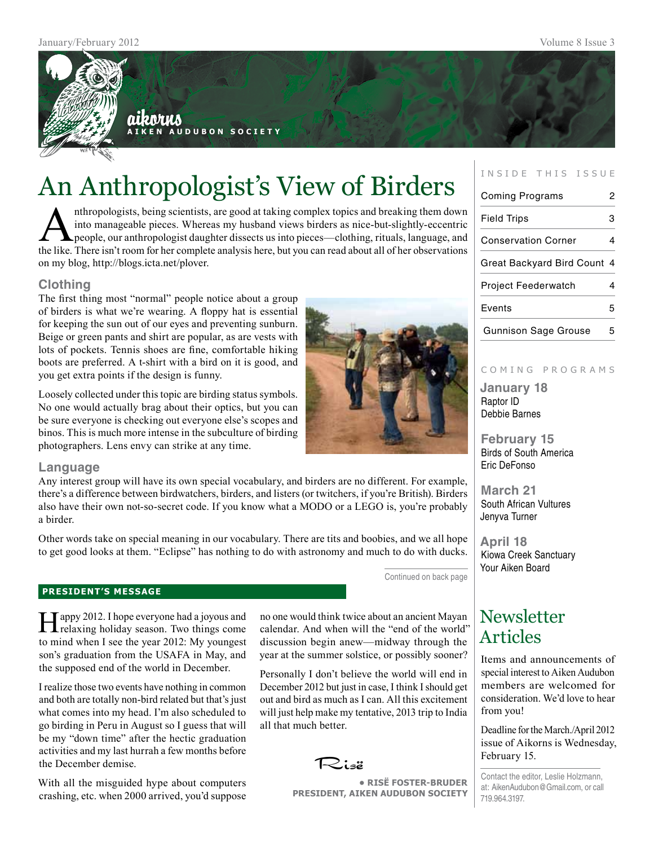

# An Anthropologist's View of Birders

**A i k e n A u d u b o n S o c i e t y**

Anthropologists, being scientists, are good at taking complex topics and breaking them down<br>into manageable pieces. Whereas my husband views birders as nice-but-slightly-eccentric<br>people, our anthropologist daughter dissec into manageable pieces. Whereas my husband views birders as nice-but-slightly-eccentric people, our anthropologist daughter dissects us into pieces—clothing, rituals, language, and the like. There isn't room for her complete analysis here, but you can read about all of her observations on my blog, http://blogs.icta.net/plover.

### **Clothing**

The first thing most "normal" people notice about a group of birders is what we're wearing. A floppy hat is essential for keeping the sun out of our eyes and preventing sunburn. Beige or green pants and shirt are popular, as are vests with lots of pockets. Tennis shoes are fine, comfortable hiking boots are preferred. A t-shirt with a bird on it is good, and you get extra points if the design is funny.

Loosely collected under this topic are birding status symbols. No one would actually brag about their optics, but you can be sure everyone is checking out everyone else's scopes and binos. This is much more intense in the subculture of birding photographers. Lens envy can strike at any time.



### **Language**

Any interest group will have its own special vocabulary, and birders are no different. For example, there's a difference between birdwatchers, birders, and listers (or twitchers, if you're British). Birders also have their own not-so-secret code. If you know what a MODO or a LEGO is, you're probably a birder.

Other words take on special meaning in our vocabulary. There are tits and boobies, and we all hope to get good looks at them. "Eclipse" has nothing to do with astronomy and much to do with ducks.

Continued on back page

### **president's message**

Happy 2012. I hope everyone had a joyous and relaxing holiday season. Two things come to mind when I see the year 2012: My youngest son's graduation from the USAFA in May, and the supposed end of the world in December.

I realize those two events have nothing in common and both are totally non-bird related but that's just what comes into my head. I'm also scheduled to go birding in Peru in August so I guess that will be my "down time" after the hectic graduation activities and my last hurrah a few months before the December demise.

With all the misguided hype about computers crashing, etc. when 2000 arrived, you'd suppose no one would think twice about an ancient Mayan calendar. And when will the "end of the world" discussion begin anew—midway through the year at the summer solstice, or possibly sooner?

Personally I don't believe the world will end in December 2012 but just in case, I think I should get out and bird as much as I can. All this excitement will just help make my tentative, 2013 trip to India all that much better.

Risë

**• RisË Foster-Bruder President, Aiken Audubon Society**

### INSIDE THIS ISSUE

| <b>Coming Programs</b>      | 2 |
|-----------------------------|---|
| <b>Field Trips</b>          | 3 |
| <b>Conservation Corner</b>  | 4 |
| Great Backyard Bird Count 4 |   |
| <b>Project Feederwatch</b>  | 4 |
| Events                      | 5 |
| <b>Gunnison Sage Grouse</b> |   |

### COMING PROGRAMS

**January 18** Raptor ID Debbie Barnes

**February 15** Birds of South America Eric DeFonso

**March 21** South African Vultures Jenyva Turner

**April 18** Kiowa Creek Sanctuary Your Aiken Board

# **Newsletter** Articles

Items and announcements of special interest to Aiken Audubon members are welcomed for consideration. We'd love to hear from you!

Deadline for the March./April 2012 issue of Aikorns is Wednesday, February 15.

Contact the editor, Leslie Holzmann, at: AikenAudubon@Gmail.com, or call 719.964.3197.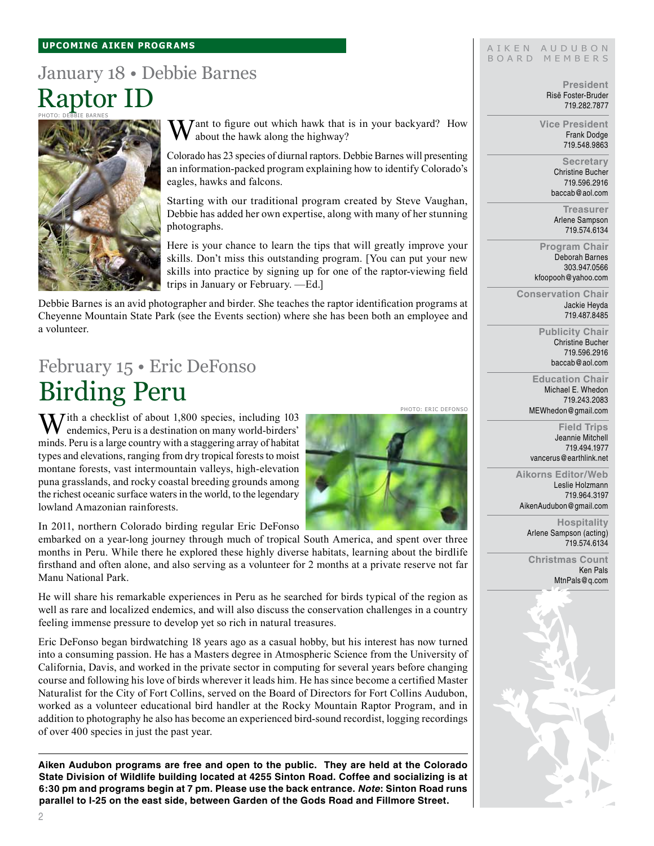#### **upcoming aiken Programs**

# January 18 • Debbie Barnes Raptor ID



 $\sum \int I$  ant to figure out which hawk that is in your backyard? How about the hawk along the highway?

Colorado has 23 species of diurnal raptors. Debbie Barnes will presenting an information-packed program explaining how to identify Colorado's eagles, hawks and falcons.

Starting with our traditional program created by Steve Vaughan, Debbie has added her own expertise, along with many of her stunning photographs.

Here is your chance to learn the tips that will greatly improve your skills. Don't miss this outstanding program. [You can put your new skills into practice by signing up for one of the raptor-viewing field trips in January or February. —Ed.]

Debbie Barnes is an avid photographer and birder. She teaches the raptor identification programs at Cheyenne Mountain State Park (see the Events section) where she has been both an employee and a volunteer.

# February 15 • Eric DeFonso Birding Peru

 $\mathbf{W}$ ith a checklist of about 1,800 species, including 103 endemics, Peru is a destination on many world-birders' minds. Peru is a large country with a staggering array of habitat types and elevations, ranging from dry tropical forests to moist montane forests, vast intermountain valleys, high-elevation puna grasslands, and rocky coastal breeding grounds among the richest oceanic surface waters in the world, to the legendary lowland Amazonian rainforests.

In 2011, northern Colorado birding regular Eric DeFonso

embarked on a year-long journey through much of tropical South America, and spent over three months in Peru. While there he explored these highly diverse habitats, learning about the birdlife firsthand and often alone, and also serving as a volunteer for 2 months at a private reserve not far Manu National Park.

He will share his remarkable experiences in Peru as he searched for birds typical of the region as well as rare and localized endemics, and will also discuss the conservation challenges in a country feeling immense pressure to develop yet so rich in natural treasures.

Eric DeFonso began birdwatching 18 years ago as a casual hobby, but his interest has now turned into a consuming passion. He has a Masters degree in Atmospheric Science from the University of California, Davis, and worked in the private sector in computing for several years before changing course and following his love of birds wherever it leads him. He has since become a certified Master Naturalist for the City of Fort Collins, served on the Board of Directors for Fort Collins Audubon, worked as a volunteer educational bird handler at the Rocky Mountain Raptor Program, and in addition to photography he also has become an experienced bird-sound recordist, logging recordings of over 400 species in just the past year.

**Aiken Audubon programs are free and open to the public. They are held at the Colorado State Division of Wildlife building located at 4255 Sinton Road. Coffee and socializing is at 6:30 pm and programs begin at 7 pm. Please use the back entrance.** *Note***: Sinton Road runs parallel to I-25 on the east side, between Garden of the Gods Road and Fillmore Street.**

#### AIKEN AUDUBON BOARD MEMBERS

**President** Risë Foster-Bruder 719.282.7877

**Vice President** Frank Dodge 719.548.9863

> **Secretary** Christine Bucher 719.596.2916 baccab@aol.com

**Treasurer** Arlene Sampson 719.574.6134

**Program Chair** Deborah Barnes 303.947.0566 kfoopooh@yahoo.com

**Conservation Chair** Jackie Heyda 719.487.8485

> **Publicity Chair** Christine Bucher 719.596.2916 baccab@aol.com

**Education Chair** Michael E. Whedon 719.243.2083 MEWhedon@gmail.com

Photo: Eric DeFonso

**Field Trips** Jeannie Mitchell 719.494.1977 vancerus@earthlink.net

**Aikorns Editor/Web** Leslie Holzmann 719.964.3197 AikenAudubon@gmail.com

> **Hospitality** Arlene Sampson (acting) 719.574.6134

**Christmas Count** Ken Pals MtnPals@q.com

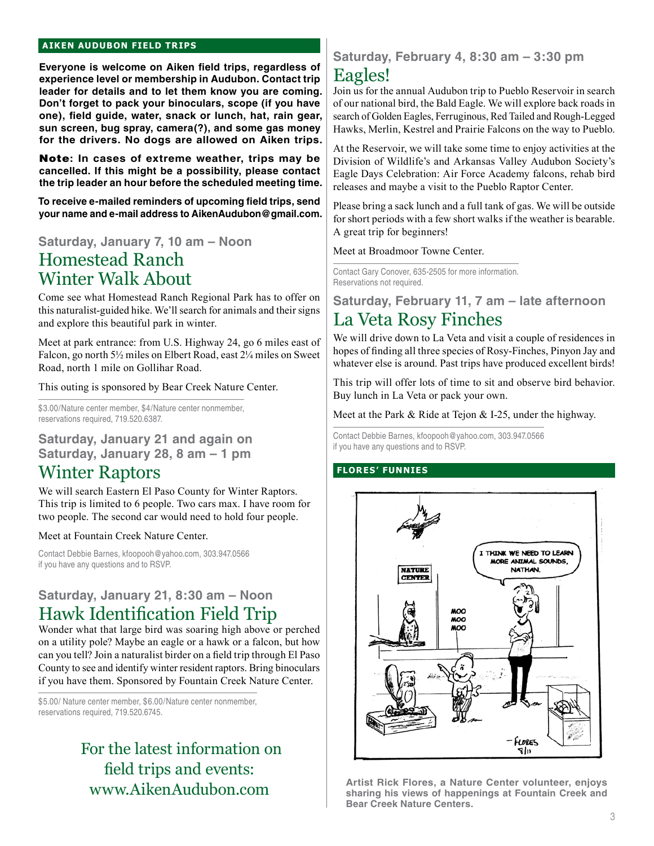### **aiken audubon FIELD TRIPS**

**Everyone is welcome on Aiken field trips, regardless of experience level or membership in Audubon. Contact trip leader for details and to let them know you are coming. Don't forget to pack your binoculars, scope (if you have one), field guide, water, snack or lunch, hat, rain gear, sun screen, bug spray, camera(?), and some gas money for the drivers. No dogs are allowed on Aiken trips.** 

Note**: In cases of extreme weather, trips may be cancelled. If this might be a possibility, please contact the trip leader an hour before the scheduled meeting time.**

**To receive e-mailed reminders of upcoming field trips, send your name and e-mail address to AikenAudubon@gmail.com.**

## **Saturday, January 7, 10 am – Noon** Homestead Ranch Winter Walk About

Come see what Homestead Ranch Regional Park has to offer on this naturalist-guided hike. We'll search for animals and their signs and explore this beautiful park in winter.

Meet at park entrance: from U.S. Highway 24, go 6 miles east of Falcon, go north 5½ miles on Elbert Road, east 2¼ miles on Sweet Road, north 1 mile on Gollihar Road.

This outing is sponsored by Bear Creek Nature Center.

\$3.00/Nature center member, \$4/Nature center nonmember, reservations required, 719.520.6387.

**Saturday, January 21 and again on Saturday, January 28, 8 am – 1 pm**

# Winter Raptors

We will search Eastern El Paso County for Winter Raptors. This trip is limited to 6 people. Two cars max. I have room for two people. The second car would need to hold four people.

#### Meet at Fountain Creek Nature Center.

Contact Debbie Barnes, kfoopooh@yahoo.com, 303.947.0566 if you have any questions and to RSVP.

### **Saturday, January 21, 8:30 am – Noon** Hawk Identification Field Trip

Wonder what that large bird was soaring high above or perched on a utility pole? Maybe an eagle or a hawk or a falcon, but how can you tell? Join a naturalist birder on a field trip through El Paso County to see and identify winter resident raptors. Bring binoculars if you have them. Sponsored by Fountain Creek Nature Center.

\$5.00/ Nature center member, \$6.00/Nature center nonmember, reservations required, 719.520.6745.

# For the latest information on field trips and events: www.AikenAudubon.com

### **Saturday, February 4, 8:30 am – 3:30 pm**

# Eagles!

Join us for the annual Audubon trip to Pueblo Reservoir in search of our national bird, the Bald Eagle. We will explore back roads in search of Golden Eagles, Ferruginous, Red Tailed and Rough-Legged Hawks, Merlin, Kestrel and Prairie Falcons on the way to Pueblo.

At the Reservoir, we will take some time to enjoy activities at the Division of Wildlife's and Arkansas Valley Audubon Society's Eagle Days Celebration: Air Force Academy falcons, rehab bird releases and maybe a visit to the Pueblo Raptor Center.

Please bring a sack lunch and a full tank of gas. We will be outside for short periods with a few short walks if the weather is bearable. A great trip for beginners!

Meet at Broadmoor Towne Center.

Contact Gary Conover, 635-2505 for more information. Reservations not required.

**Saturday, February 11, 7 am – late afternoon**

# La Veta Rosy Finches

We will drive down to La Veta and visit a couple of residences in hopes of finding all three species of Rosy-Finches, Pinyon Jay and whatever else is around. Past trips have produced excellent birds!

This trip will offer lots of time to sit and observe bird behavior. Buy lunch in La Veta or pack your own.

Meet at the Park & Ride at Tejon & I-25, under the highway.

Contact Debbie Barnes, kfoopooh@yahoo.com, 303.947.0566 if you have any questions and to RSVP.

### **flores' funnies**



**Artist Rick Flores, a Nature Center volunteer, enjoys sharing his views of happenings at Fountain Creek and Bear Creek Nature Centers.**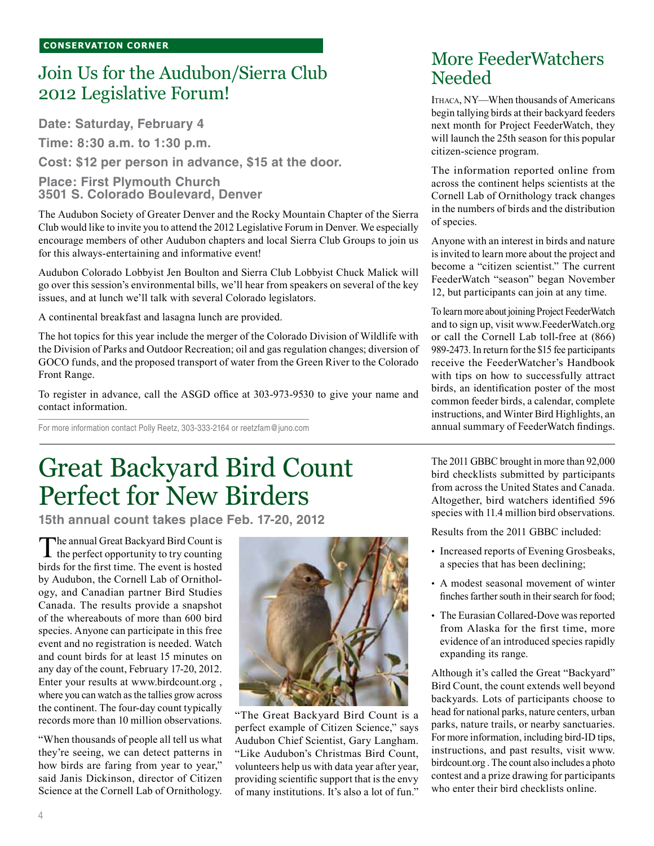# Join Us for the Audubon/Sierra Club 2012 Legislative Forum!

**Date: Saturday, February 4**

**Time: 8:30 a.m. to 1:30 p.m.**

**Cost: \$12 per person in advance, \$15 at the door.**

### **Place: First Plymouth Church 3501 S. Colorado Boulevard, Denver**

The Audubon Society of Greater Denver and the Rocky Mountain Chapter of the Sierra Club would like to invite you to attend the 2012 Legislative Forum in Denver. We especially encourage members of other Audubon chapters and local Sierra Club Groups to join us for this always-entertaining and informative event!

Audubon Colorado Lobbyist Jen Boulton and Sierra Club Lobbyist Chuck Malick will go over this session's environmental bills, we'll hear from speakers on several of the key issues, and at lunch we'll talk with several Colorado legislators.

A continental breakfast and lasagna lunch are provided.

The hot topics for this year include the merger of the Colorado Division of Wildlife with the Division of Parks and Outdoor Recreation; oil and gas regulation changes; diversion of GOCO funds, and the proposed transport of water from the Green River to the Colorado Front Range.

To register in advance, call the ASGD office at 303-973-9530 to give your name and contact information.

For more information contact Polly Reetz, 303-333-2164 or reetzfam@juno.com

# Great Backyard Bird Count Perfect for New Birders

**15th annual count takes place Feb. 17-20, 2012**

The annual Great Backyard Bird Count is<br>the perfect opportunity to try counting birds for the first time. The event is hosted by Audubon, the Cornell Lab of Ornithology, and Canadian partner Bird Studies Canada. The results provide a snapshot of the whereabouts of more than 600 bird species. Anyone can participate in this free event and no registration is needed. Watch and count birds for at least 15 minutes on any day of the count, February 17-20, 2012. Enter your results at www.birdcount.org , where you can watch as the tallies grow across the continent. The four-day count typically records more than 10 million observations.

"When thousands of people all tell us what they're seeing, we can detect patterns in how birds are faring from year to year," said Janis Dickinson, director of Citizen Science at the Cornell Lab of Ornithology.



"The Great Backyard Bird Count is a perfect example of Citizen Science," says Audubon Chief Scientist, Gary Langham. "Like Audubon's Christmas Bird Count, volunteers help us with data year after year, providing scientific support that is the envy of many institutions. It's also a lot of fun."

# More FeederWatchers Needed

Ithaca, NY—When thousands of Americans begin tallying birds at their backyard feeders next month for Project FeederWatch, they will launch the 25th season for this popular citizen-science program.

The information reported online from across the continent helps scientists at the Cornell Lab of Ornithology track changes in the numbers of birds and the distribution of species.

Anyone with an interest in birds and nature is invited to learn more about the project and become a "citizen scientist." The current FeederWatch "season" began November 12, but participants can join at any time.

To learn more about joining Project FeederWatch and to sign up, visit www.FeederWatch.org or call the Cornell Lab toll-free at (866) 989-2473. In return for the \$15 fee participants receive the FeederWatcher's Handbook with tips on how to successfully attract birds, an identification poster of the most common feeder birds, a calendar, complete instructions, and Winter Bird Highlights, an annual summary of FeederWatch findings.

The 2011 GBBC brought in more than 92,000 bird checklists submitted by participants from across the United States and Canada. Altogether, bird watchers identified 596 species with 11.4 million bird observations.

Results from the 2011 GBBC included:

- Increased reports of Evening Grosbeaks, a species that has been declining;
- A modest seasonal movement of winter finches farther south in their search for food;
- The Eurasian Collared-Dove was reported from Alaska for the first time, more evidence of an introduced species rapidly expanding its range.

Although it's called the Great "Backyard" Bird Count, the count extends well beyond backyards. Lots of participants choose to head for national parks, nature centers, urban parks, nature trails, or nearby sanctuaries. For more information, including bird-ID tips, instructions, and past results, visit www. birdcount.org . The count also includes a photo contest and a prize drawing for participants who enter their bird checklists online.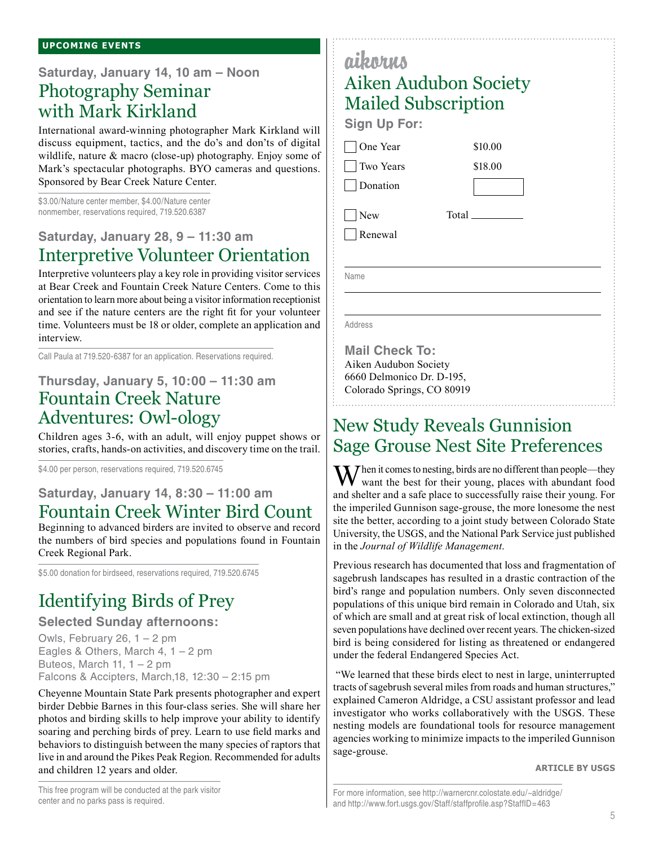**Saturday, January 14, 10 am – Noon**

# Photography Seminar with Mark Kirkland

International award-winning photographer Mark Kirkland will discuss equipment, tactics, and the do's and don'ts of digital wildlife, nature & macro (close-up) photography. Enjoy some of Mark's spectacular photographs. BYO cameras and questions. Sponsored by Bear Creek Nature Center.

\$3.00/Nature center member, \$4.00/Nature center nonmember, reservations required, 719.520.6387

### **Saturday, January 28, 9 – 11:30 am**  Interpretive Volunteer Orientation

Interpretive volunteers play a key role in providing visitor services at Bear Creek and Fountain Creek Nature Centers. Come to this orientation to learn more about being a visitor information receptionist and see if the nature centers are the right fit for your volunteer time. Volunteers must be 18 or older, complete an application and interview.

Call Paula at 719.520-6387 for an application. Reservations required.

## **Thursday, January 5, 10:00 – 11:30 am** Fountain Creek Nature Adventures: Owl-ology

Children ages 3-6, with an adult, will enjoy puppet shows or stories, crafts, hands-on activities, and discovery time on the trail.

\$4.00 per person, reservations required, 719.520.6745

### **Saturday, January 14, 8:30 – 11:00 am** Fountain Creek Winter Bird Count

Beginning to advanced birders are invited to observe and record the numbers of bird species and populations found in Fountain Creek Regional Park.

\$5.00 donation for birdseed, reservations required, 719,520,6745

# Identifying Birds of Prey

### **Selected Sunday afternoons:**

Owls, February 26,  $1 - 2$  pm Eagles & Others, March 4,  $1 - 2$  pm Buteos, March 11,  $1 - 2$  pm Falcons & Accipters, March,18, 12:30 – 2:15 pm

Cheyenne Mountain State Park presents photographer and expert birder Debbie Barnes in this four-class series. She will share her photos and birding skills to help improve your ability to identify soaring and perching birds of prey. Learn to use field marks and behaviors to distinguish between the many species of raptors that live in and around the Pikes Peak Region. Recommended for adults and children 12 years and older.

This free program will be conducted at the park visitor center and no parks pass is required.

# aikorus Aiken Audubon Society Mailed Subscription **Sign Up For:**

\$10.00 \$18.00

Total

□ One Year

 Two Years **Donation** 

 $\Box$ New Renewal

Name

Address

**Mail Check To:** Aiken Audubon Society 6660 Delmonico Dr. D-195, Colorado Springs, CO 80919

# New Study Reveals Gunnision Sage Grouse Nest Site Preferences

 $\mathbf{M}$  hen it comes to nesting, birds are no different than people—they want the best for their young, places with abundant food and shelter and a safe place to successfully raise their young. For the imperiled Gunnison sage-grouse, the more lonesome the nest site the better, according to a joint study between Colorado State University, the USGS, and the National Park Service just published in the *Journal of Wildlife Management*.

Previous research has documented that loss and fragmentation of sagebrush landscapes has resulted in a drastic contraction of the bird's range and population numbers. Only seven disconnected populations of this unique bird remain in Colorado and Utah, six of which are small and at great risk of local extinction, though all seven populations have declined over recent years. The chicken-sized bird is being considered for listing as threatened or endangered under the federal Endangered Species Act.

 "We learned that these birds elect to nest in large, uninterrupted tracts of sagebrush several miles from roads and human structures," explained Cameron Aldridge, a CSU assistant professor and lead investigator who works collaboratively with the USGS. These nesting models are foundational tools for resource management agencies working to minimize impacts to the imperiled Gunnison sage-grouse.

**Article by USGS**

For more information, see http://warnercnr.colostate.edu/~aldridge/ and http://www.fort.usgs.gov/Staff/staffprofile.asp?StaffID=463